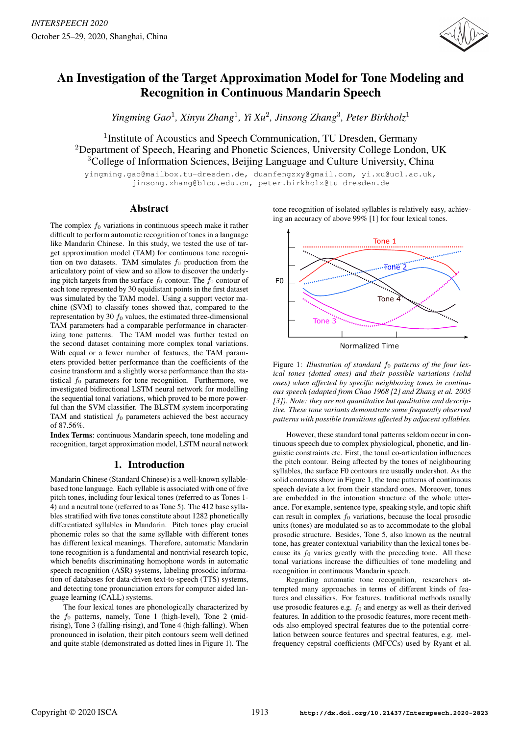

# An Investigation of the Target Approximation Model for Tone Modeling and Recognition in Continuous Mandarin Speech

*Yingming Gao*<sup>1</sup> *, Xinyu Zhang*<sup>1</sup> *, Yi Xu*<sup>2</sup> *, Jinsong Zhang*<sup>3</sup> *, Peter Birkholz*<sup>1</sup>

<sup>1</sup> Institute of Acoustics and Speech Communication, TU Dresden, Germany <sup>2</sup>Department of Speech, Hearing and Phonetic Sciences, University College London, UK <sup>3</sup>College of Information Sciences, Beijing Language and Culture University, China

yingming.gao@mailbox.tu-dresden.de, duanfengzxy@gmail.com, yi.xu@ucl.ac.uk, jinsong.zhang@blcu.edu.cn, peter.birkholz@tu-dresden.de

# Abstract

The complex  $f_0$  variations in continuous speech make it rather difficult to perform automatic recognition of tones in a language like Mandarin Chinese. In this study, we tested the use of target approximation model (TAM) for continuous tone recognition on two datasets. TAM simulates  $f_0$  production from the articulatory point of view and so allow to discover the underlying pitch targets from the surface  $f_0$  contour. The  $f_0$  contour of each tone represented by 30 equidistant points in the first dataset was simulated by the TAM model. Using a support vector machine (SVM) to classify tones showed that, compared to the representation by 30  $f_0$  values, the estimated three-dimensional TAM parameters had a comparable performance in characterizing tone patterns. The TAM model was further tested on the second dataset containing more complex tonal variations. With equal or a fewer number of features, the TAM parameters provided better performance than the coefficients of the cosine transform and a slightly worse performance than the statistical  $f_0$  parameters for tone recognition. Furthermore, we investigated bidirectional LSTM neural network for modelling the sequential tonal variations, which proved to be more powerful than the SVM classifier. The BLSTM system incorporating TAM and statistical  $f_0$  parameters achieved the best accuracy of 87.56%.

Index Terms: continuous Mandarin speech, tone modeling and recognition, target approximation model, LSTM neural network

# 1. Introduction

Mandarin Chinese (Standard Chinese) is a well-known syllablebased tone language. Each syllable is associated with one of five pitch tones, including four lexical tones (referred to as Tones 1- 4) and a neutral tone (referred to as Tone 5). The 412 base syllables stratified with five tones constitute about 1282 phonetically differentiated syllables in Mandarin. Pitch tones play crucial phonemic roles so that the same syllable with different tones has different lexical meanings. Therefore, automatic Mandarin tone recognition is a fundamental and nontrivial research topic, which benefits discriminating homophone words in automatic speech recognition (ASR) systems, labeling prosodic information of databases for data-driven text-to-speech (TTS) systems, and detecting tone pronunciation errors for computer aided language learning (CALL) systems.

The four lexical tones are phonologically characterized by the  $f_0$  patterns, namely, Tone 1 (high-level), Tone 2 (midrising), Tone 3 (falling-rising), and Tone 4 (high-falling). When pronounced in isolation, their pitch contours seem well defined and quite stable (demonstrated as dotted lines in Figure 1). The tone recognition of isolated syllables is relatively easy, achieving an accuracy of above 99% [1] for four lexical tones.



Figure 1: *Illustration of standard*  $f_0$  *patterns of the four lexical tones (dotted ones) and their possible variations (solid ones) when affected by specific neighboring tones in continuous speech (adapted from Chao 1968 [2] and Zhang et al. 2005 [3]). Note: they are not quantitative but qualitative and descriptive. These tone variants demonstrate some frequently observed patterns with possible transitions affected by adjacent syllables.*

However, these standard tonal patterns seldom occur in continuous speech due to complex physiological, phonetic, and linguistic constraints etc. First, the tonal co-articulation influences the pitch contour. Being affected by the tones of neighbouring syllables, the surface F0 contours are usually undershot. As the solid contours show in Figure 1, the tone patterns of continuous speech deviate a lot from their standard ones. Moreover, tones are embedded in the intonation structure of the whole utterance. For example, sentence type, speaking style, and topic shift can result in complex  $f_0$  variations, because the local prosodic units (tones) are modulated so as to accommodate to the global prosodic structure. Besides, Tone 5, also known as the neutral tone, has greater contextual variability than the lexical tones because its  $f_0$  varies greatly with the preceding tone. All these tonal variations increase the difficulties of tone modeling and recognition in continuous Mandarin speech.

Regarding automatic tone recognition, researchers attempted many approaches in terms of different kinds of features and classifiers. For features, traditional methods usually use prosodic features e.g.  $f_0$  and energy as well as their derived features. In addition to the prosodic features, more recent methods also employed spectral features due to the potential correlation between source features and spectral features, e.g. melfrequency cepstral coefficients (MFCCs) used by Ryant et al.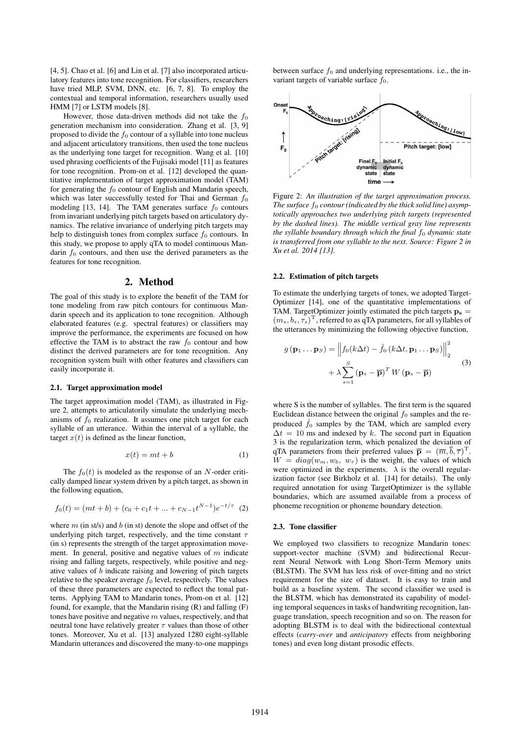[4, 5]. Chao et al. [6] and Lin et al. [7] also incorporated articulatory features into tone recognition. For classifiers, researchers have tried MLP, SVM, DNN, etc. [6, 7, 8]. To employ the contextual and temporal information, researchers usually used HMM [7] or LSTM models [8].

However, those data-driven methods did not take the  $f_0$ generation mechanism into consideration. Zhang et al. [3, 9] proposed to divide the  $f_0$  contour of a syllable into tone nucleus and adjacent articulatory transitions, then used the tone nucleus as the underlying tone target for recognition. Wang et al. [10] used phrasing coefficients of the Fujisaki model [11] as features for tone recognition. Prom-on et al. [12] developed the quantitative implementation of target approximation model (TAM) for generating the  $f_0$  contour of English and Mandarin speech, which was later successfully tested for Thai and German  $f_0$ modeling [13, 14]. The TAM generates surface  $f_0$  contours from invariant underlying pitch targets based on articulatory dynamics. The relative invariance of underlying pitch targets may help to distinguish tones from complex surface  $f_0$  contours. In this study, we propose to apply qTA to model continuous Mandarin  $f_0$  contours, and then use the derived parameters as the features for tone recognition.

## 2. Method

The goal of this study is to explore the benefit of the TAM for tone modeling from raw pitch contours for continuous Mandarin speech and its application to tone recognition. Although elaborated features (e.g. spectral features) or classifiers may improve the performance, the experiments are focused on how effective the TAM is to abstract the raw  $f_0$  contour and how distinct the derived parameters are for tone recognition. Any recognition system built with other features and classifiers can easily incorporate it.

### 2.1. Target approximation model

The target approximation model (TAM), as illustrated in Figure 2, attempts to articulatorily simulate the underlying mechanisms of  $f_0$  realization. It assumes one pitch target for each syllable of an utterance. Within the interval of a syllable, the target  $x(t)$  is defined as the linear function,

$$
x(t) = mt + b \tag{1}
$$

The  $f_0(t)$  is modeled as the response of an N-order critically damped linear system driven by a pitch target, as shown in the following equation,

$$
f_0(t) = (mt + b) + (c_0 + c_1t + ... + c_{N-1}t^{N-1})e^{-t/\tau}
$$
 (2)

where  $m$  (in st/s) and  $b$  (in st) denote the slope and offset of the underlying pitch target, respectively, and the time constant  $\tau$ (in s) represents the strength of the target approximation movement. In general, positive and negative values of  $m$  indicate rising and falling targets, respectively, while positive and negative values of b indicate raising and lowering of pitch targets relative to the speaker average  $f_0$  level, respectively. The values of these three parameters are expected to reflect the tonal patterns. Applying TAM to Mandarin tones, Prom-on et al. [12] found, for example, that the Mandarin rising (R) and falling (F) tones have positive and negative  $m$  values, respectively, and that neutral tone have relatively greater  $\tau$  values than those of other tones. Moreover, Xu et al. [13] analyzed 1280 eight-syllable Mandarin utterances and discovered the many-to-one mappings between surface  $f_0$  and underlying representations. i.e., the invariant targets of variable surface  $f_0$ .



Figure 2: *An illustration of the target approximation process.* The surface  $f_0$  contour (indicated by the thick solid line) asymp*totically approaches two underlying pitch targets (represented by the dashed lines). The middle vertical gray line represents the syllable boundary through which the final*  $f_0$  *dynamic state is transferred from one syllable to the next. Source: Figure 2 in Xu et al. 2014 [13].*

#### 2.2. Estimation of pitch targets

To estimate the underlying targets of tones, we adopted Target-Optimizer [14], one of the quantitative implementations of TAM. TargetOptimizer jointly estimated the pitch targets  $\mathbf{p}_s =$  $(m_s, b_s, \tau_s)^{\text{T}}$ , referred to as qTA parameters, for all syllables of the utterances by minimizing the following objective function,

$$
g(\mathbf{p}_1 \dots \mathbf{p}_S) = \left\| f_0(k\Delta t) - \hat{f}_0(k\Delta t, \mathbf{p}_1 \dots \mathbf{p}_S) \right\|_2^2
$$
  
+  $\lambda \sum_{s=1}^S (\mathbf{p}_s - \overline{\mathbf{p}})^T W (\mathbf{p}_s - \overline{\mathbf{p}})$  (3)

where S is the number of syllables. The first term is the squared Euclidean distance between the original  $f_0$  samples and the reproduced  $\hat{f}_0$  samples by the TAM, which are sampled every  $\Delta t = 10$  ms and indexed by k. The second part in Equation 3 is the regularization term, which penalized the deviation of qTA parameters from their preferred values  $\bar{\mathbf{p}} = (\overline{m}, \overline{b}, \overline{\tau})^{\mathrm{T}}$ .  $W = diag(w_m, w_b, w_\tau)$  is the weight, the values of which were optimized in the experiments.  $\lambda$  is the overall regularization factor (see Birkholz et al. [14] for details). The only required annotation for using TargetOptimizer is the syllable boundaries, which are assumed available from a process of phoneme recognition or phoneme boundary detection.

#### 2.3. Tone classifier

We employed two classifiers to recognize Mandarin tones: support-vector machine (SVM) and bidirectional Recurrent Neural Network with Long Short-Term Memory units (BLSTM). The SVM has less risk of over-fitting and no strict requirement for the size of dataset. It is easy to train and build as a baseline system. The second classifier we used is the BLSTM, which has demonstrated its capability of modeling temporal sequences in tasks of handwriting recognition, language translation, speech recognition and so on. The reason for adopting BLSTM is to deal with the bidirectional contextual effects (*carry-over* and *anticipatory* effects from neighboring tones) and even long distant prosodic effects.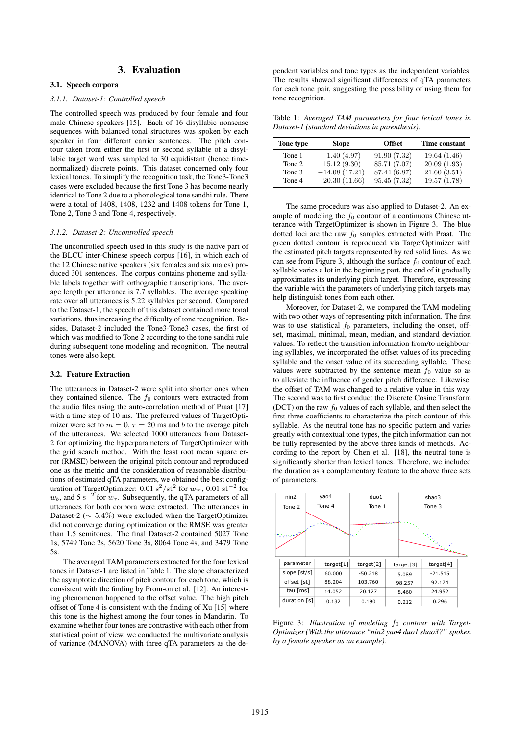# 3. Evaluation

## 3.1. Speech corpora

## *3.1.1. Dataset-1: Controlled speech*

The controlled speech was produced by four female and four male Chinese speakers [15]. Each of 16 disyllabic nonsense sequences with balanced tonal structures was spoken by each speaker in four different carrier sentences. The pitch contour taken from either the first or second syllable of a disyllabic target word was sampled to 30 equidistant (hence timenormalized) discrete points. This dataset concerned only four lexical tones. To simplify the recognition task, the Tone3-Tone3 cases were excluded because the first Tone 3 has become nearly identical to Tone 2 due to a phonological tone sandhi rule. There were a total of 1408, 1408, 1232 and 1408 tokens for Tone 1, Tone 2, Tone 3 and Tone 4, respectively.

#### *3.1.2. Dataset-2: Uncontrolled speech*

The uncontrolled speech used in this study is the native part of the BLCU inter-Chinese speech corpus [16], in which each of the 12 Chinese native speakers (six females and six males) produced 301 sentences. The corpus contains phoneme and syllable labels together with orthographic transcriptions. The average length per utterance is 7.7 syllables. The average speaking rate over all utterances is 5.22 syllables per second. Compared to the Dataset-1, the speech of this dataset contained more tonal variations, thus increasing the difficulty of tone recognition. Besides, Dataset-2 included the Tone3-Tone3 cases, the first of which was modified to Tone 2 according to the tone sandhi rule during subsequent tone modeling and recognition. The neutral tones were also kept.

#### 3.2. Feature Extraction

The utterances in Dataset-2 were split into shorter ones when they contained silence. The  $f_0$  contours were extracted from the audio files using the auto-correlation method of Praat [17] with a time step of 10 ms. The preferred values of TargetOptimizer were set to  $\overline{m} = 0$ ,  $\overline{\tau} = 20$  ms and  $\overline{b}$  to the average pitch of the utterances. We selected 1000 utterances from Dataset-2 for optimizing the hyperparameters of TargetOptimizer with the grid search method. With the least root mean square error (RMSE) between the original pitch contour and reproduced one as the metric and the consideration of reasonable distributions of estimated qTA parameters, we obtained the best configuration of TargetOptimizer: 0.01 s<sup>2</sup>/st<sup>2</sup> for  $w_m$ , 0.01 st<sup>-2</sup> for  $w_b$ , and 5 s<sup>-2</sup> for  $w_\tau$ . Subsequently, the qTA parameters of all utterances for both corpora were extracted. The utterances in Dataset-2 ( $\sim 5.4\%$ ) were excluded when the TargetOptimizer did not converge during optimization or the RMSE was greater than 1.5 semitones. The final Dataset-2 contained 5027 Tone 1s, 5749 Tone 2s, 5620 Tone 3s, 8064 Tone 4s, and 3479 Tone 5s.

The averaged TAM parameters extracted for the four lexical tones in Dataset-1 are listed in Table 1. The slope characterized the asymptotic direction of pitch contour for each tone, which is consistent with the finding by Prom-on et al. [12]. An interesting phenomenon happened to the offset value. The high pitch offset of Tone 4 is consistent with the finding of Xu [15] where this tone is the highest among the four tones in Mandarin. To examine whether four tones are contrastive with each other from statistical point of view, we conducted the multivariate analysis of variance (MANOVA) with three qTA parameters as the dependent variables and tone types as the independent variables. The results showed significant differences of qTA parameters for each tone pair, suggesting the possibility of using them for tone recognition.

Table 1: *Averaged TAM parameters for four lexical tones in Dataset-1 (standard deviations in parenthesis).*

| Tone type | <b>Slope</b>    | <b>Offset</b> | Time constant |
|-----------|-----------------|---------------|---------------|
| Tone 1    | 1.40(4.97)      | 91.90(7.32)   | 19.64(1.46)   |
| Tone 2    | 15.12(9.30)     | 85.71 (7.07)  | 20.09(1.93)   |
| Tone 3    | $-14.08(17.21)$ | 87.44 (6.87)  | 21.60(3.51)   |
| Tone 4    | $-20.30(11.66)$ | 95.45(7.32)   | 19.57(1.78)   |

The same procedure was also applied to Dataset-2. An example of modeling the  $f_0$  contour of a continuous Chinese utterance with TargetOptimizer is shown in Figure 3. The blue dotted loci are the raw  $f_0$  samples extracted with Praat. The green dotted contour is reproduced via TargetOptimizer with the estimated pitch targets represented by red solid lines. As we can see from Figure 3, although the surface  $f_0$  contour of each syllable varies a lot in the beginning part, the end of it gradually approximates its underlying pitch target. Therefore, expressing the variable with the parameters of underlying pitch targets may help distinguish tones from each other.

Moreover, for Dataset-2, we compared the TAM modeling with two other ways of representing pitch information. The first was to use statistical  $f_0$  parameters, including the onset, offset, maximal, minimal, mean, median, and standard deviation values. To reflect the transition information from/to neighbouring syllables, we incorporated the offset values of its preceding syllable and the onset value of its succeeding syllable. These values were subtracted by the sentence mean  $f_0$  value so as to alleviate the influence of gender pitch difference. Likewise, the offset of TAM was changed to a relative value in this way. The second was to first conduct the Discrete Cosine Transform (DCT) on the raw  $f_0$  values of each syllable, and then select the first three coefficients to characterize the pitch contour of this syllable. As the neutral tone has no specific pattern and varies greatly with contextual tone types, the pitch information can not be fully represented by the above three kinds of methods. According to the report by Chen et al. [18], the neutral tone is significantly shorter than lexical tones. Therefore, we included the duration as a complementary feature to the above three sets of parameters.



Figure 3: *Illustration of modeling*  $f_0$  *contour with Target-Optimizer (With the utterance "nin2 yao4 duo1 shao3?" spoken by a female speaker as an example).*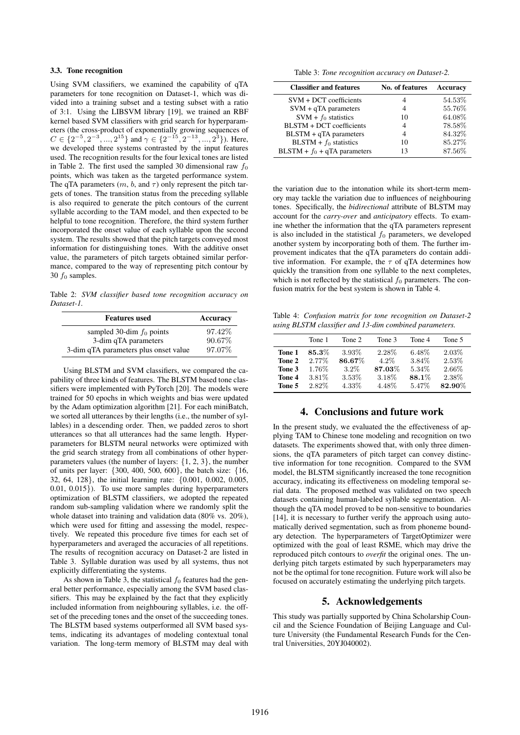# 3.3. Tone recognition

Using SVM classifiers, we examined the capability of qTA parameters for tone recognition on Dataset-1, which was divided into a training subset and a testing subset with a ratio of 3:1. Using the LIBSVM library [19], we trained an RBF kernel based SVM classifiers with grid search for hyperparameters (the cross-product of exponentially growing sequences of  $C \in \{2^{-5}, 2^{-3}, ..., 2^{15}\}$  and  $\gamma \in \{2^{-15}, 2^{-13}, ..., 2^{3}\}$ ). Here, we developed three systems contrasted by the input features used. The recognition results for the four lexical tones are listed in Table 2. The first used the sampled 30 dimensional raw  $f_0$ points, which was taken as the targeted performance system. The qTA parameters  $(m, b, \text{ and } \tau)$  only represent the pitch targets of tones. The transition status from the preceding syllable is also required to generate the pitch contours of the current syllable according to the TAM model, and then expected to be helpful to tone recognition. Therefore, the third system further incorporated the onset value of each syllable upon the second system. The results showed that the pitch targets conveyed most information for distinguishing tones. With the additive onset value, the parameters of pitch targets obtained similar performance, compared to the way of representing pitch contour by 30  $f_0$  samples.

Table 2: *SVM classifier based tone recognition accuracy on Dataset-1.*

| <b>Features</b> used                  | Accuracy |
|---------------------------------------|----------|
| sampled 30-dim $f_0$ points           | 97.42\%  |
| 3-dim qTA parameters                  | 90.67%   |
| 3-dim qTA parameters plus onset value | 97.07%   |

Using BLSTM and SVM classifiers, we compared the capability of three kinds of features. The BLSTM based tone classifiers were implemented with PyTorch [20]. The models were trained for 50 epochs in which weights and bias were updated by the Adam optimization algorithm [21]. For each miniBatch, we sorted all utterances by their lengths (i.e., the number of syllables) in a descending order. Then, we padded zeros to short utterances so that all utterances had the same length. Hyperparameters for BLSTM neural networks were optimized with the grid search strategy from all combinations of other hyperparameters values (the number of layers:  $\{1, 2, 3\}$ , the number of units per layer: {300, 400, 500, 600}, the batch size: {16, 32, 64, 128}, the initial learning rate: {0.001, 0.002, 0.005, 0.01, 0.015}). To use more samples during hyperparameters optimization of BLSTM classifiers, we adopted the repeated random sub-sampling validation where we randomly split the whole dataset into training and validation data (80% vs. 20%), which were used for fitting and assessing the model, respectively. We repeated this procedure five times for each set of hyperparameters and averaged the accuracies of all repetitions. The results of recognition accuracy on Dataset-2 are listed in Table 3. Syllable duration was used by all systems, thus not explicitly differentiating the systems.

As shown in Table 3, the statistical  $f_0$  features had the general better performance, especially among the SVM based classifiers. This may be explained by the fact that they explicitly included information from neighbouring syllables, i.e. the offset of the preceding tones and the onset of the succeeding tones. The BLSTM based systems outperformed all SVM based systems, indicating its advantages of modeling contextual tonal variation. The long-term memory of BLSTM may deal with

Table 3: *Tone recognition accuracy on Dataset-2.*

| <b>Classifier and features</b> | No. of features | <b>Accuracy</b> |
|--------------------------------|-----------------|-----------------|
| SVM + DCT coefficients         |                 | 54.53%          |
| $SVM + qTA$ parameters         | 4               | 55.76%          |
| $SVM + f_0$ statistics         | 10              | 64.08%          |
| BLSTM + DCT coefficients       |                 | 78.58%          |
| $BLSTM + qTA$ parameters       |                 | 84.32%          |
| $BLSTM + f_0$ statistics       | 10              | 85.27%          |
| $BLSTM + f_0 + qTA parameters$ | 13              | 87.56%          |

the variation due to the intonation while its short-term memory may tackle the variation due to influences of neighbouring tones. Specifically, the *bidirectional* attribute of BLSTM may account for the *carry-over* and *anticipatory* effects. To examine whether the information that the qTA parameters represent is also included in the statistical  $f_0$  parameters, we developed another system by incorporating both of them. The further improvement indicates that the qTA parameters do contain additive information. For example, the  $\tau$  of qTA determines how quickly the transition from one syllable to the next completes, which is not reflected by the statistical  $f_0$  parameters. The confusion matrix for the best system is shown in Table 4.

Table 4: *Confusion matrix for tone recognition on Dataset-2 using BLSTM classifier and 13-dim combined parameters.*

|        | Tone 1   | Tone 2   | Tone 3  | Tone 4 | Tone 5 |
|--------|----------|----------|---------|--------|--------|
| Tone 1 | $85.3\%$ | $3.93\%$ | 2.28%   | 6.48%  | 2.03%  |
| Tone 2 | $2.77\%$ | 86.67%   | $4.2\%$ | 3.84%  | 2.53%  |
| Tone 3 | $1.76\%$ | $3.2\%$  | 87.03%  | 5.34%  | 2.66%  |
| Tone 4 | 3.81\%   | 3.53%    | 3.18%   | 88.1%  | 2.38%  |
| Tone 5 | $2.82\%$ | 4.33%    | 4.48%   | 5.47%  | 82.90% |

# 4. Conclusions and future work

In the present study, we evaluated the the effectiveness of applying TAM to Chinese tone modeling and recognition on two datasets. The experiments showed that, with only three dimensions, the qTA parameters of pitch target can convey distinctive information for tone recognition. Compared to the SVM model, the BLSTM significantly increased the tone recognition accuracy, indicating its effectiveness on modeling temporal serial data. The proposed method was validated on two speech datasets containing human-labeled syllable segmentation. Although the qTA model proved to be non-sensitive to boundaries [14], it is necessary to further verify the approach using automatically derived segmentation, such as from phoneme boundary detection. The hyperparameters of TargetOptimizer were optimized with the goal of least RSME, which may drive the reproduced pitch contours to *overfit* the original ones. The underlying pitch targets estimated by such hyperparameters may not be the optimal for tone recognition. Future work will also be focused on accurately estimating the underlying pitch targets.

# 5. Acknowledgements

This study was partially supported by China Scholarship Council and the Science Foundation of Beijing Language and Culture University (the Fundamental Research Funds for the Central Universities, 20YJ040002).